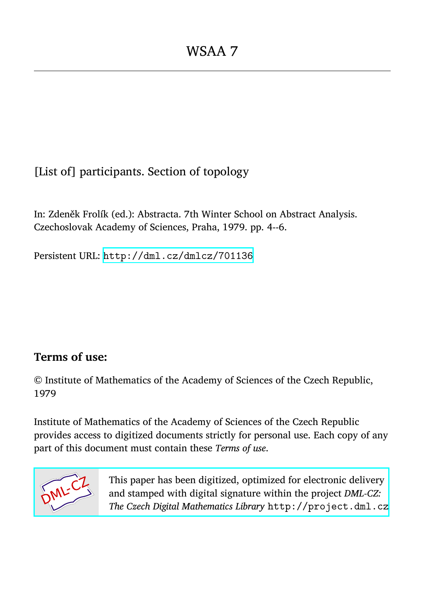[List of] participants. Section of topology

In: Zdeněk Frolík (ed.): Abstracta. 7th Winter School on Abstract Analysis. Czechoslovak Academy of Sciences, Praha, 1979. pp. 4--6.

Persistent URL: <http://dml.cz/dmlcz/701136>

## **Terms of use:**

© Institute of Mathematics of the Academy of Sciences of the Czech Republic, 1979

Institute of Mathematics of the Academy of Sciences of the Czech Republic provides access to digitized documents strictly for personal use. Each copy of any part of this document must contain these *Terms of use*.



[This paper has been digitized, optimized for electronic delivery](http://project.dml.cz) and stamped with digital signature within the project *DML-CZ: The Czech Digital Mathematics Library* http://project.dml.cz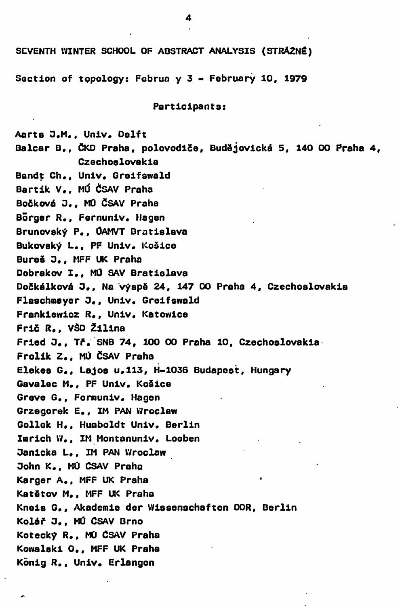SCVENTH WINTER SCHOOL OF ABSTRACT ANALYSIS (STRÁŻNÉ)

**Soction of tppology: Fobrua y 3 - Februory 10f 1979** 

**Particlpante:** 

**Aarte 0# M# , Univ. Delft Baleár B# , ČKD Praha, polovodiče, Budějovická 5, 140 00 Praha 4, Czechoelovakia**  Bandt Ch., Univ. Greifswald **Bartik V# , MÚ ČSAV Praha Bočková 0 # <sup>f</sup> MÚ ČSAV Praha Borger R# <sup>f</sup> Fernuniv# Hagen Brunoveký P# <sup>f</sup> ÚAMVT Bratislava Bukoveký L# <sup>f</sup> PF Univ. Koěice Bureš 0 # <sup>f</sup> MFF UK Praha Dobrakov I # <sup>f</sup> MÚ SAV Bratielava Dočkálková 3 # <sup>f</sup> Na výspě 24, 147 00 Praha 4, Czechoelovakia Flaechmayer O., Univ. Greifswald Frankiewicz R# <sup>f</sup> Univ. Katowice Fric R# <sup>f</sup> VŠD Žilina Fried 0 # <sup>f</sup> Tř. SNB 74, 100 00 Praha 10, Czechoelovakia Frolik Z# , MÚ ČSAV Praha Elekee G# <sup>f</sup> Lajos u# 113f H-1036 Budapost, Hungary Gavalec M., PF Univ. Košice Greve G., Formuniv. Hagen Grzegorek E., IM PAN Wroclew Gollek H# , Humboldt Univ. Berlin ImrichW., IM Montanuniv. Loeben Oanicka L., IM PAN Wroclaw Oohn K# , MÚ ČSAV Praho Karger A# , MFF UK Praha Katětov M., MFF UK Praha Kneis G., Akademie der Wiseenechaften DDR, Berlin Kolář 0# , MÚ ČSAV Brno Kotecký R#, MÚ ČSAV Praha Kowalski 0 # <sup>f</sup> MFF UK Praha Kbnig R., Univ. Erlangen**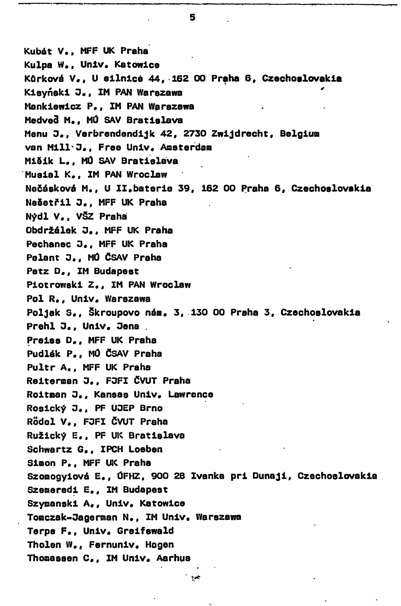**Kubát V., MFF UK Praha**  Kulpa W., Univ. Katowice **Kůrková V# <sup>f</sup> U eilnicé 44, 162 00 Praha 6,** C**zechoslovakia Kieyňekl O., IM PAN Warezawa Manklewicz P# <sup>f</sup> IM PAN Warezawa Medvec. M# <sup>f</sup> MÚ SAV Bratislava Menu 3 # <sup>f</sup> Verbrendendijk 42, 2730 Zwijdrecht, Belgiun van Milí\*3,, Free Univ# Amsterdam MiSik L# <sup>f</sup> MÚ SAV Bratislava Musial K# <sup>f</sup> IM PAN Wroclaw Nečásková M., U II#baterie 39, 162 00 Praha 6,** C**zechoslovakia Nešetřil** *3.,* **MFF UK Praha Nýdl V# , VSZ Praha Obdržálek 3 # <sup>f</sup> MFF UK Praha Pechanec 3 # <sup>f</sup> MFF UK Praha Pelant 3 # <sup>f</sup> MÚ ČSAV Praha Petz D.f IM Budapeat Piotrowski Z., IM PAN Wroclaw Pol R., Univ, Warszawa Poljak S # <sup>f</sup> škroupovo nán# 3,**.**130 00 Praha 3,** C**zechoslovakia Prehl J., Univ. Jena** . **Preisa D # <sup>f</sup> MFF UK Praha Pudlák P# <sup>f</sup> MÚ ČSAV Praha Pultr A# <sup>f</sup> MFF UK Praha Reiternan O,, F3FI ČVUT Praha Roitnan O.f Kansas Univ. Lawrence Rosický 3.. PF U3EP Brno Rodei V# <sup>f</sup> F3FI ČVUT Praha Ružický E # <sup>f</sup> PF UK Bratislava Schwartz G# <sup>f</sup> IPCH Loeben Simon** P**., MFF UK Praha Szonogyiová E., ÚFHZ, 900 28 Ivanka pri Dunaji,** C**zechoslovakia**  Szemeredi E., IM Budapest Szymanski A,, Univ, Katowice T**omczak-Dagerman N# <sup>f</sup> IM Univ. Warszawa Terpe F# <sup>f</sup> Univ# Greifewald Tholen W# <sup>f</sup> Fernuniv\* Hogen Thonasaen C # <sup>f</sup> IM Unlv# Aarhus** 

5

 $\alpha$